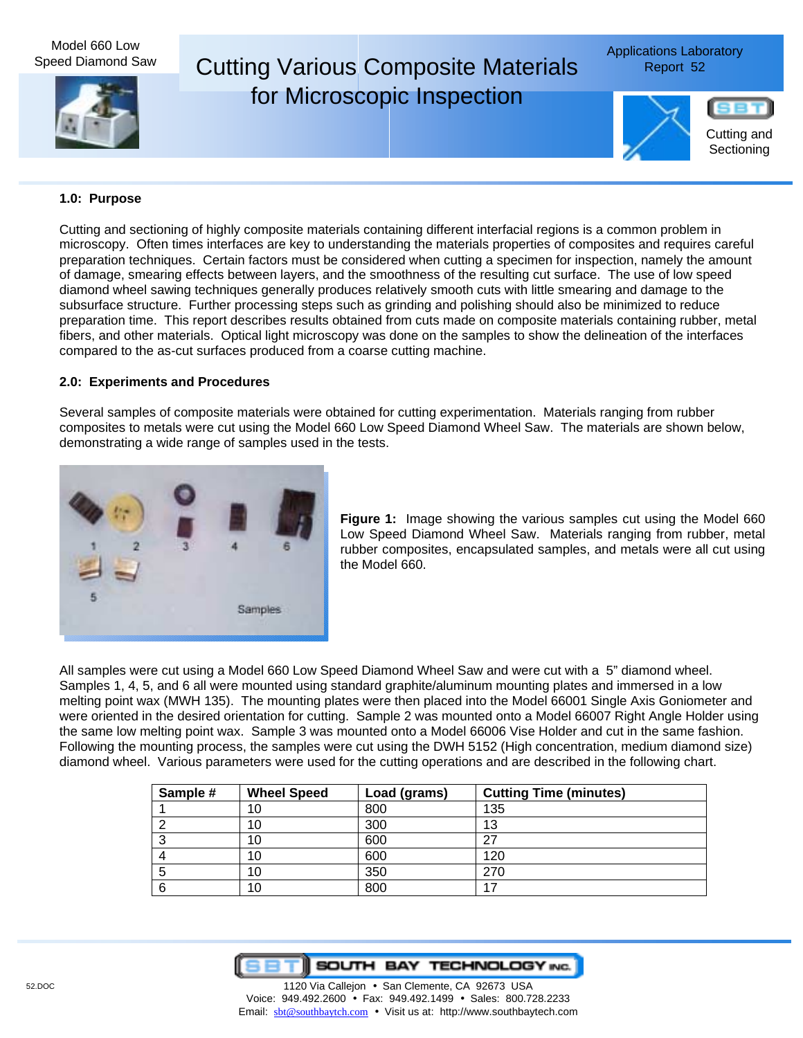Model 660 Low Speed Diamond Saw

# Cutting Various Composite Materials Report 52 for Microscopic Inspection

Applications Laboratory



SB Cutting and

### **1.0: Purpose**

Cutting and sectioning of highly composite materials containing different interfacial regions is a common problem in microscopy. Often times interfaces are key to understanding the materials properties of composites and requires careful preparation techniques. Certain factors must be considered when cutting a specimen for inspection, namely the amount of damage, smearing effects between layers, and the smoothness of the resulting cut surface. The use of low speed diamond wheel sawing techniques generally produces relatively smooth cuts with little smearing and damage to the subsurface structure. Further processing steps such as grinding and polishing should also be minimized to reduce preparation time. This report describes results obtained from cuts made on composite materials containing rubber, metal fibers, and other materials. Optical light microscopy was done on the samples to show the delineation of the interfaces compared to the as-cut surfaces produced from a coarse cutting machine.

## **2.0: Experiments and Procedures**

Several samples of composite materials were obtained for cutting experimentation. Materials ranging from rubber composites to metals were cut using the Model 660 Low Speed Diamond Wheel Saw. The materials are shown below, demonstrating a wide range of samples used in the tests.



**Figure 1:** Image showing the various samples cut using the Model 660 Low Speed Diamond Wheel Saw. Materials ranging from rubber, metal rubber composites, encapsulated samples, and metals were all cut using the Model 660.

All samples were cut using a Model 660 Low Speed Diamond Wheel Saw and were cut with a 5" diamond wheel. Samples 1, 4, 5, and 6 all were mounted using standard graphite/aluminum mounting plates and immersed in a low melting point wax (MWH 135). The mounting plates were then placed into the Model 66001 Single Axis Goniometer and were oriented in the desired orientation for cutting. Sample 2 was mounted onto a Model 66007 Right Angle Holder using the same low melting point wax. Sample 3 was mounted onto a Model 66006 Vise Holder and cut in the same fashion. Following the mounting process, the samples were cut using the DWH 5152 (High concentration, medium diamond size) diamond wheel. Various parameters were used for the cutting operations and are described in the following chart.

| Sample # | <b>Wheel Speed</b> | Load (grams) | <b>Cutting Time (minutes)</b> |
|----------|--------------------|--------------|-------------------------------|
|          | 10                 | 800          | 135                           |
|          | 10                 | 300          | 13                            |
|          | 10                 | 600          | 27                            |
|          | 10                 | 600          | 120                           |
|          | 10                 | 350          | 270                           |
| 6        | 10                 | 800          | 17                            |